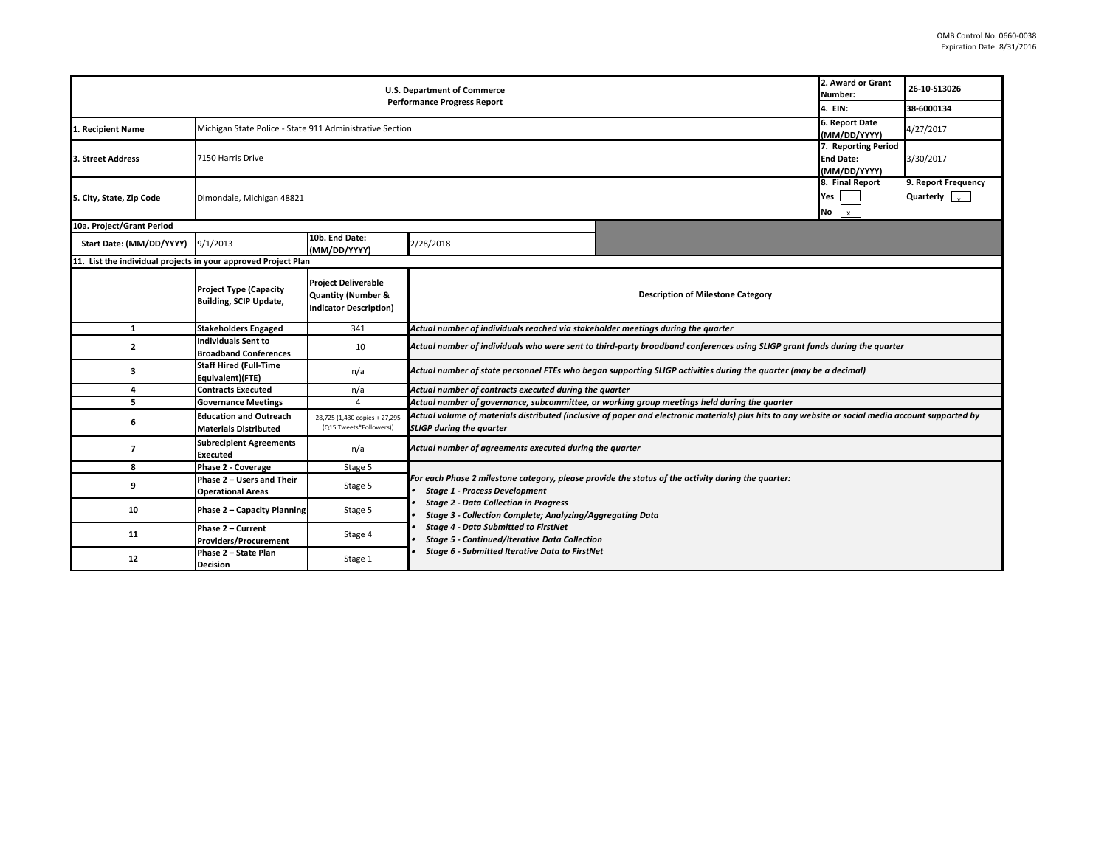|                                                                | 2. Award or Grant<br>Number:                                   | 26-10-S13026                                                                                 |                                                                                                                                                                                                                                                                                                                                                                                                                  |                                                                                              |  |  |  |  |  |  |
|----------------------------------------------------------------|----------------------------------------------------------------|----------------------------------------------------------------------------------------------|------------------------------------------------------------------------------------------------------------------------------------------------------------------------------------------------------------------------------------------------------------------------------------------------------------------------------------------------------------------------------------------------------------------|----------------------------------------------------------------------------------------------|--|--|--|--|--|--|
|                                                                | 4. EIN:                                                        | 38-6000134                                                                                   |                                                                                                                                                                                                                                                                                                                                                                                                                  |                                                                                              |  |  |  |  |  |  |
| Recipient Name                                                 | Michigan State Police - State 911 Administrative Section       |                                                                                              |                                                                                                                                                                                                                                                                                                                                                                                                                  |                                                                                              |  |  |  |  |  |  |
| 3. Street Address                                              | 7150 Harris Drive                                              | 7. Reporting Period<br><b>End Date:</b><br>(MM/DD/YYYY)                                      | 3/30/2017                                                                                                                                                                                                                                                                                                                                                                                                        |                                                                                              |  |  |  |  |  |  |
| 5. City, State, Zip Code                                       | Dimondale, Michigan 48821                                      | 8. Final Report<br>Yes<br>$\mathbf{x}$<br>No                                                 | 9. Report Frequency<br>Quarterly                                                                                                                                                                                                                                                                                                                                                                                 |                                                                                              |  |  |  |  |  |  |
| 10a. Project/Grant Period                                      |                                                                |                                                                                              |                                                                                                                                                                                                                                                                                                                                                                                                                  |                                                                                              |  |  |  |  |  |  |
| Start Date: (MM/DD/YYYY)                                       | 9/1/2013                                                       | 10b. End Date:<br>(MM/DD/YYYY)                                                               | 2/28/2018                                                                                                                                                                                                                                                                                                                                                                                                        |                                                                                              |  |  |  |  |  |  |
| 11. List the individual projects in your approved Project Plan |                                                                |                                                                                              |                                                                                                                                                                                                                                                                                                                                                                                                                  |                                                                                              |  |  |  |  |  |  |
|                                                                | <b>Project Type (Capacity</b><br><b>Building, SCIP Update,</b> | <b>Project Deliverable</b><br><b>Quantity (Number &amp;</b><br><b>Indicator Description)</b> |                                                                                                                                                                                                                                                                                                                                                                                                                  | <b>Description of Milestone Category</b>                                                     |  |  |  |  |  |  |
| 1                                                              | <b>Stakeholders Engaged</b>                                    | 341                                                                                          | Actual number of individuals reached via stakeholder meetings during the quarter                                                                                                                                                                                                                                                                                                                                 |                                                                                              |  |  |  |  |  |  |
| $\overline{2}$                                                 | Individuals Sent to<br><b>Broadband Conferences</b>            | 10                                                                                           | Actual number of individuals who were sent to third-party broadband conferences using SLIGP grant funds during the quarter                                                                                                                                                                                                                                                                                       |                                                                                              |  |  |  |  |  |  |
| 3                                                              | <b>Staff Hired (Full-Time</b><br>Equivalent)(FTE)              | n/a                                                                                          | Actual number of state personnel FTEs who began supporting SLIGP activities during the quarter (may be a decimal)                                                                                                                                                                                                                                                                                                |                                                                                              |  |  |  |  |  |  |
| 4                                                              | <b>Contracts Executed</b>                                      | n/a                                                                                          | Actual number of contracts executed during the quarter                                                                                                                                                                                                                                                                                                                                                           |                                                                                              |  |  |  |  |  |  |
| 5                                                              | <b>Governance Meetings</b>                                     | $\overline{4}$                                                                               |                                                                                                                                                                                                                                                                                                                                                                                                                  | Actual number of governance, subcommittee, or working group meetings held during the quarter |  |  |  |  |  |  |
| 6                                                              | <b>Education and Outreach</b><br><b>Materials Distributed</b>  | 28,725 (1,430 copies + 27,295<br>(Q15 Tweets*Followers))                                     | Actual volume of materials distributed (inclusive of paper and electronic materials) plus hits to any website or social media account supported by<br><b>SLIGP during the quarter</b>                                                                                                                                                                                                                            |                                                                                              |  |  |  |  |  |  |
| $\overline{7}$                                                 | <b>Subrecipient Agreements</b><br><b>Executed</b>              | n/a                                                                                          | Actual number of agreements executed during the quarter                                                                                                                                                                                                                                                                                                                                                          |                                                                                              |  |  |  |  |  |  |
| 8                                                              | Phase 2 - Coverage                                             | Stage 5                                                                                      |                                                                                                                                                                                                                                                                                                                                                                                                                  |                                                                                              |  |  |  |  |  |  |
| 9                                                              | Phase 2 - Users and Their<br><b>Operational Areas</b>          | Stage 5                                                                                      | For each Phase 2 milestone category, please provide the status of the activity during the quarter:<br><b>Stage 1 - Process Development</b><br><b>Stage 2 - Data Collection in Progress</b><br>Stage 3 - Collection Complete; Analyzing/Aggregating Data<br><b>Stage 4 - Data Submitted to FirstNet</b><br><b>Stage 5 - Continued/Iterative Data Collection</b><br>Stage 6 - Submitted Iterative Data to FirstNet |                                                                                              |  |  |  |  |  |  |
| 10                                                             | <b>Phase 2 - Capacity Planning</b>                             | Stage 5                                                                                      |                                                                                                                                                                                                                                                                                                                                                                                                                  |                                                                                              |  |  |  |  |  |  |
| 11                                                             | Phase 2 - Current<br><b>Providers/Procurement</b>              | Stage 4                                                                                      |                                                                                                                                                                                                                                                                                                                                                                                                                  |                                                                                              |  |  |  |  |  |  |
| 12                                                             | Phase 2 - State Plan<br>Decision                               | Stage 1                                                                                      |                                                                                                                                                                                                                                                                                                                                                                                                                  |                                                                                              |  |  |  |  |  |  |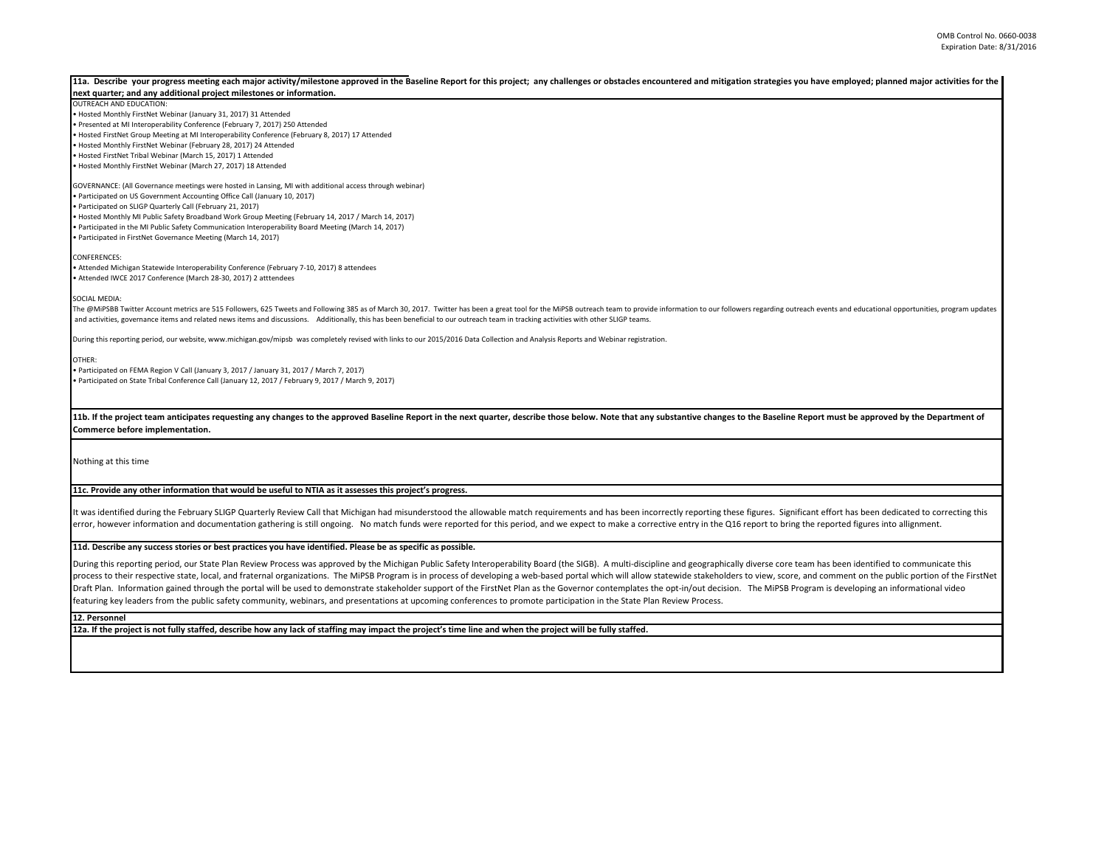| 11a. Describe your progress meeting each major activity/milestone approved in the Baseline Report for this project; any challenges or obstacles encountered and mitigation strategies you have employed; planned major activit<br>next quarter; and any additional project milestones or information. |
|-------------------------------------------------------------------------------------------------------------------------------------------------------------------------------------------------------------------------------------------------------------------------------------------------------|
| <b>OUTREACH AND EDUCATION:</b>                                                                                                                                                                                                                                                                        |
| . Hosted Monthly FirstNet Webinar (January 31, 2017) 31 Attended                                                                                                                                                                                                                                      |
| · Presented at MI Interoperability Conference (February 7, 2017) 250 Attended                                                                                                                                                                                                                         |
| . Hosted FirstNet Group Meeting at MI Interoperability Conference (February 8, 2017) 17 Attended                                                                                                                                                                                                      |
| . Hosted Monthly FirstNet Webinar (February 28, 2017) 24 Attended                                                                                                                                                                                                                                     |
| . Hosted FirstNet Tribal Webinar (March 15, 2017) 1 Attended                                                                                                                                                                                                                                          |
| . Hosted Monthly FirstNet Webinar (March 27, 2017) 18 Attended                                                                                                                                                                                                                                        |
| GOVERNANCE: (All Governance meetings were hosted in Lansing, MI with additional access through webinar)                                                                                                                                                                                               |
| . Participated on US Government Accounting Office Call (January 10, 2017)                                                                                                                                                                                                                             |
| · Participated on SLIGP Quarterly Call (February 21, 2017)                                                                                                                                                                                                                                            |
| . Hosted Monthly MI Public Safety Broadband Work Group Meeting (February 14, 2017 / March 14, 2017)                                                                                                                                                                                                   |
| · Participated in the MI Public Safety Communication Interoperability Board Meeting (March 14, 2017)                                                                                                                                                                                                  |
| · Participated in FirstNet Governance Meeting (March 14, 2017)                                                                                                                                                                                                                                        |
| CONFERENCES:                                                                                                                                                                                                                                                                                          |
| · Attended Michigan Statewide Interoperability Conference (February 7-10, 2017) 8 attendees                                                                                                                                                                                                           |
| · Attended IWCE 2017 Conference (March 28-30, 2017) 2 atttendees                                                                                                                                                                                                                                      |
| SOCIAL MEDIA:                                                                                                                                                                                                                                                                                         |
| The @MiPSBB Twitter Account metrics are 515 Followers, 625 Tweets and Following 385 as of March 30, 2017. Twitter has been a great tool for the MiPSB outreach team to provide information to our followers regarding outreach                                                                        |
| and activities, governance items and related news items and discussions. Additionally, this has been beneficial to our outreach team in tracking activities with other SLIGP teams.                                                                                                                   |
| During this reporting period, our website, www.michigan.gov/mipsb was completely revised with links to our 2015/2016 Data Collection and Analysis Reports and Webinar registration.                                                                                                                   |
| OTHER:                                                                                                                                                                                                                                                                                                |
| • Participated on FEMA Region V Call (January 3, 2017 / January 31, 2017 / March 7, 2017)                                                                                                                                                                                                             |
| · Participated on State Tribal Conference Call (January 12, 2017 / February 9, 2017 / March 9, 2017)                                                                                                                                                                                                  |
|                                                                                                                                                                                                                                                                                                       |
| 11b. If the project team anticipates requesting any changes to the approved Baseline Report in the next quarter, describe those below. Note that any substantive changes to the Baseline Report must be approved by the Depart                                                                        |
| Commerce before implementation.                                                                                                                                                                                                                                                                       |
|                                                                                                                                                                                                                                                                                                       |
| Nothing at this time                                                                                                                                                                                                                                                                                  |
|                                                                                                                                                                                                                                                                                                       |
| 11c. Provide any other information that would be useful to NTIA as it assesses this project's progress.                                                                                                                                                                                               |
|                                                                                                                                                                                                                                                                                                       |
| It was identified during the February SLIGP Quarterly Review Call that Michigan had misunderstood the allowable match requirements and has been incorrectly reporting these figures. Significant effort has been dedicated to                                                                         |
| error, however information and documentation gathering is still ongoing. No match funds were reported for this period, and we expect to make a corrective entry in the Q16 report to bring the reported figures into allignmen                                                                        |

## **11d. Describe any success stories or best practices you have identified. Please be as specific as possible.**

During this reporting period, our State Plan Review Process was approved by the Michigan Public Safety Interoperability Board (the SIGB). A multi-discipline and geographically diverse core team has been identified to commu process to their respective state, local, and fraternal organizations. The MiPSB Program is in process of developing a web-based portal which will allow statewide stakeholders to view, score, and comment on the public port Draft Plan. Information gained through the portal will be used to demonstrate stakeholder support of the FirstNet Plan as the Governor contemplates the opt-in/out decision. The MiPSB Program is developing an informational featuring key leaders from the public safety community, webinars, and presentations at upcoming conferences to promote participation in the State Plan Review Process.

## **12. Personnel**

**12a. If the project is not fully staffed, describe how any lack of staffing may impact the project's time line and when the project will be fully staffed.**